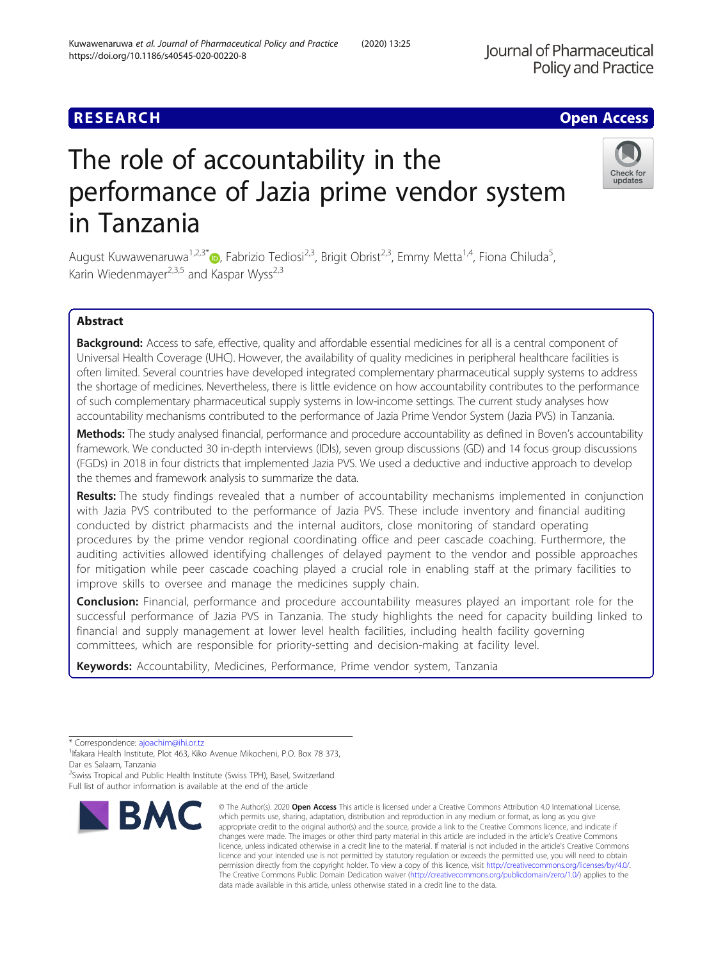# **RESEARCH CHE Open Access**

# The role of accountability in the performance of Jazia prime vendor system in Tanzania

August Kuwawenaruwa<sup>1,2,3\*</sup> $\bullet$ , Fabrizio Tediosi<sup>2,3</sup>, Brigit Obrist<sup>2,3</sup>, Emmy Metta<sup>1,4</sup>, Fiona Chiluda<sup>5</sup>, , Karin Wiedenmayer<sup>2,3,5</sup> and Kaspar Wyss<sup>2,3</sup>

# Abstract

Background: Access to safe, effective, quality and affordable essential medicines for all is a central component of Universal Health Coverage (UHC). However, the availability of quality medicines in peripheral healthcare facilities is often limited. Several countries have developed integrated complementary pharmaceutical supply systems to address the shortage of medicines. Nevertheless, there is little evidence on how accountability contributes to the performance of such complementary pharmaceutical supply systems in low-income settings. The current study analyses how accountability mechanisms contributed to the performance of Jazia Prime Vendor System (Jazia PVS) in Tanzania.

Methods: The study analysed financial, performance and procedure accountability as defined in Boven's accountability framework. We conducted 30 in-depth interviews (IDIs), seven group discussions (GD) and 14 focus group discussions (FGDs) in 2018 in four districts that implemented Jazia PVS. We used a deductive and inductive approach to develop the themes and framework analysis to summarize the data.

Results: The study findings revealed that a number of accountability mechanisms implemented in conjunction with Jazia PVS contributed to the performance of Jazia PVS. These include inventory and financial auditing conducted by district pharmacists and the internal auditors, close monitoring of standard operating procedures by the prime vendor regional coordinating office and peer cascade coaching. Furthermore, the auditing activities allowed identifying challenges of delayed payment to the vendor and possible approaches for mitigation while peer cascade coaching played a crucial role in enabling staff at the primary facilities to improve skills to oversee and manage the medicines supply chain.

**Conclusion:** Financial, performance and procedure accountability measures played an important role for the successful performance of Jazia PVS in Tanzania. The study highlights the need for capacity building linked to financial and supply management at lower level health facilities, including health facility governing committees, which are responsible for priority-setting and decision-making at facility level.

data made available in this article, unless otherwise stated in a credit line to the data.

Keywords: Accountability, Medicines, Performance, Prime vendor system, Tanzania

<sup>2</sup> Swiss Tropical and Public Health Institute (Swiss TPH), Basel, Switzerland Full list of author information is available at the end of the article

permission directly from the copyright holder. To view a copy of this licence, visit [http://creativecommons.org/licenses/by/4.0/.](http://creativecommons.org/licenses/by/4.0/) The Creative Commons Public Domain Dedication waiver [\(http://creativecommons.org/publicdomain/zero/1.0/](http://creativecommons.org/publicdomain/zero/1.0/)) applies to the





undates

<sup>\*</sup> Correspondence: [ajoachim@ihi.or.tz](mailto:ajoachim@ihi.or.tz) <sup>1</sup>

<sup>&</sup>lt;sup>1</sup> Ifakara Health Institute, Plot 463, Kiko Avenue Mikocheni, P.O. Box 78 373, Dar es Salaam, Tanzania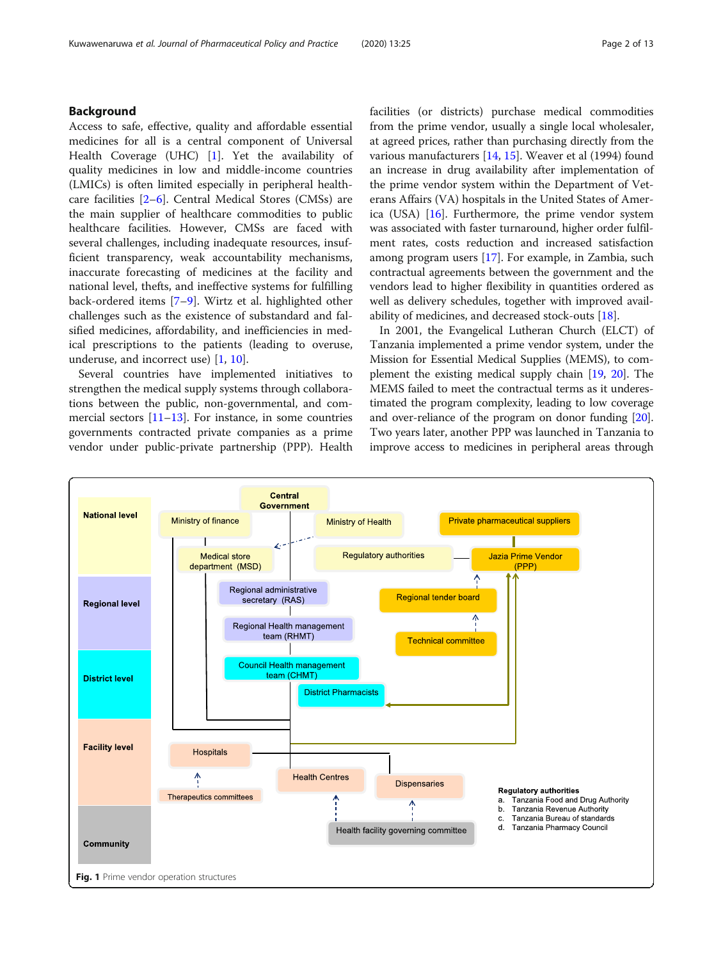# <span id="page-1-0"></span>Background

Access to safe, effective, quality and affordable essential medicines for all is a central component of Universal Health Coverage (UHC) [\[1](#page-11-0)]. Yet the availability of quality medicines in low and middle-income countries (LMICs) is often limited especially in peripheral healthcare facilities [[2](#page-11-0)–[6\]](#page-11-0). Central Medical Stores (CMSs) are the main supplier of healthcare commodities to public healthcare facilities. However, CMSs are faced with several challenges, including inadequate resources, insufficient transparency, weak accountability mechanisms, inaccurate forecasting of medicines at the facility and national level, thefts, and ineffective systems for fulfilling back-ordered items [\[7](#page-11-0)–[9](#page-11-0)]. Wirtz et al. highlighted other challenges such as the existence of substandard and falsified medicines, affordability, and inefficiencies in medical prescriptions to the patients (leading to overuse, underuse, and incorrect use) [[1,](#page-11-0) [10\]](#page-11-0).

Several countries have implemented initiatives to strengthen the medical supply systems through collaborations between the public, non-governmental, and commercial sectors  $[11–13]$  $[11–13]$  $[11–13]$ . For instance, in some countries governments contracted private companies as a prime vendor under public-private partnership (PPP). Health facilities (or districts) purchase medical commodities from the prime vendor, usually a single local wholesaler, at agreed prices, rather than purchasing directly from the various manufacturers [[14,](#page-11-0) [15](#page-11-0)]. Weaver et al (1994) found an increase in drug availability after implementation of the prime vendor system within the Department of Veterans Affairs (VA) hospitals in the United States of America (USA) [[16\]](#page-11-0). Furthermore, the prime vendor system was associated with faster turnaround, higher order fulfilment rates, costs reduction and increased satisfaction among program users [[17\]](#page-11-0). For example, in Zambia, such contractual agreements between the government and the vendors lead to higher flexibility in quantities ordered as well as delivery schedules, together with improved availability of medicines, and decreased stock-outs  $[18]$  $[18]$  $[18]$ .

In 2001, the Evangelical Lutheran Church (ELCT) of Tanzania implemented a prime vendor system, under the Mission for Essential Medical Supplies (MEMS), to complement the existing medical supply chain [[19](#page-11-0), [20](#page-11-0)]. The MEMS failed to meet the contractual terms as it underestimated the program complexity, leading to low coverage and over-reliance of the program on donor funding [[20](#page-11-0)]. Two years later, another PPP was launched in Tanzania to improve access to medicines in peripheral areas through

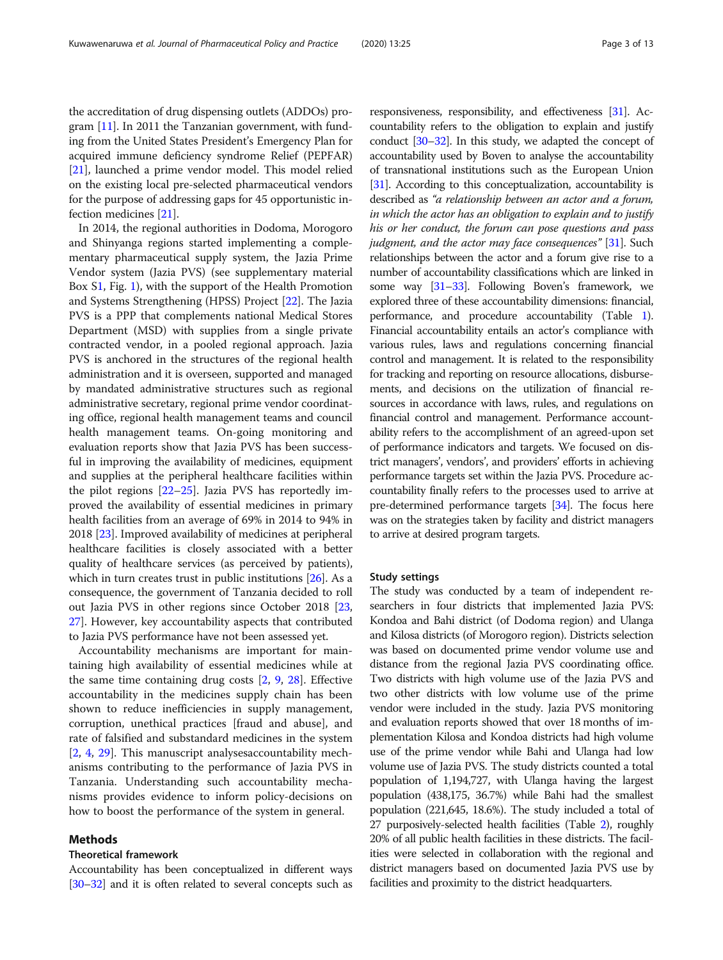the accreditation of drug dispensing outlets (ADDOs) program [\[11\]](#page-11-0). In 2011 the Tanzanian government, with funding from the United States President's Emergency Plan for acquired immune deficiency syndrome Relief (PEPFAR) [[21](#page-11-0)], launched a prime vendor model. This model relied on the existing local pre-selected pharmaceutical vendors for the purpose of addressing gaps for 45 opportunistic infection medicines [[21](#page-11-0)].

In 2014, the regional authorities in Dodoma, Morogoro and Shinyanga regions started implementing a complementary pharmaceutical supply system, the Jazia Prime Vendor system (Jazia PVS) (see supplementary material Box [S1](#page-10-0), Fig. [1](#page-1-0)), with the support of the Health Promotion and Systems Strengthening (HPSS) Project [\[22](#page-11-0)]. The Jazia PVS is a PPP that complements national Medical Stores Department (MSD) with supplies from a single private contracted vendor, in a pooled regional approach. Jazia PVS is anchored in the structures of the regional health administration and it is overseen, supported and managed by mandated administrative structures such as regional administrative secretary, regional prime vendor coordinating office, regional health management teams and council health management teams. On-going monitoring and evaluation reports show that Jazia PVS has been successful in improving the availability of medicines, equipment and supplies at the peripheral healthcare facilities within the pilot regions  $[22-25]$  $[22-25]$  $[22-25]$ . Jazia PVS has reportedly improved the availability of essential medicines in primary health facilities from an average of 69% in 2014 to 94% in 2018 [[23\]](#page-11-0). Improved availability of medicines at peripheral healthcare facilities is closely associated with a better quality of healthcare services (as perceived by patients), which in turn creates trust in public institutions [\[26\]](#page-11-0). As a consequence, the government of Tanzania decided to roll out Jazia PVS in other regions since October 2018 [[23](#page-11-0), [27](#page-11-0)]. However, key accountability aspects that contributed to Jazia PVS performance have not been assessed yet.

Accountability mechanisms are important for maintaining high availability of essential medicines while at the same time containing drug costs [[2,](#page-11-0) [9](#page-11-0), [28\]](#page-11-0). Effective accountability in the medicines supply chain has been shown to reduce inefficiencies in supply management, corruption, unethical practices [fraud and abuse], and rate of falsified and substandard medicines in the system [[2,](#page-11-0) [4](#page-11-0), [29\]](#page-12-0). This manuscript analysesaccountability mechanisms contributing to the performance of Jazia PVS in Tanzania. Understanding such accountability mechanisms provides evidence to inform policy-decisions on how to boost the performance of the system in general.

#### Methods

# Theoretical framework

Accountability has been conceptualized in different ways [[30](#page-12-0)–[32](#page-12-0)] and it is often related to several concepts such as

responsiveness, responsibility, and effectiveness [\[31\]](#page-12-0). Accountability refers to the obligation to explain and justify conduct [\[30](#page-12-0)–[32\]](#page-12-0). In this study, we adapted the concept of accountability used by Boven to analyse the accountability of transnational institutions such as the European Union [[31](#page-12-0)]. According to this conceptualization, accountability is described as "a relationship between an actor and a forum, in which the actor has an obligation to explain and to justify his or her conduct, the forum can pose questions and pass judgment, and the actor may face consequences" [[31\]](#page-12-0). Such relationships between the actor and a forum give rise to a number of accountability classifications which are linked in some way [[31](#page-12-0)–[33](#page-12-0)]. Following Boven's framework, we explored three of these accountability dimensions: financial, performance, and procedure accountability (Table [1](#page-3-0)). Financial accountability entails an actor's compliance with various rules, laws and regulations concerning financial control and management. It is related to the responsibility for tracking and reporting on resource allocations, disbursements, and decisions on the utilization of financial resources in accordance with laws, rules, and regulations on financial control and management. Performance accountability refers to the accomplishment of an agreed-upon set of performance indicators and targets. We focused on district managers', vendors', and providers' efforts in achieving performance targets set within the Jazia PVS. Procedure accountability finally refers to the processes used to arrive at pre-determined performance targets [\[34\]](#page-12-0). The focus here was on the strategies taken by facility and district managers to arrive at desired program targets.

#### Study settings

The study was conducted by a team of independent researchers in four districts that implemented Jazia PVS: Kondoa and Bahi district (of Dodoma region) and Ulanga and Kilosa districts (of Morogoro region). Districts selection was based on documented prime vendor volume use and distance from the regional Jazia PVS coordinating office. Two districts with high volume use of the Jazia PVS and two other districts with low volume use of the prime vendor were included in the study. Jazia PVS monitoring and evaluation reports showed that over 18 months of implementation Kilosa and Kondoa districts had high volume use of the prime vendor while Bahi and Ulanga had low volume use of Jazia PVS. The study districts counted a total population of 1,194,727, with Ulanga having the largest population (438,175, 36.7%) while Bahi had the smallest population (221,645, 18.6%). The study included a total of 27 purposively-selected health facilities (Table [2](#page-3-0)), roughly 20% of all public health facilities in these districts. The facilities were selected in collaboration with the regional and district managers based on documented Jazia PVS use by facilities and proximity to the district headquarters.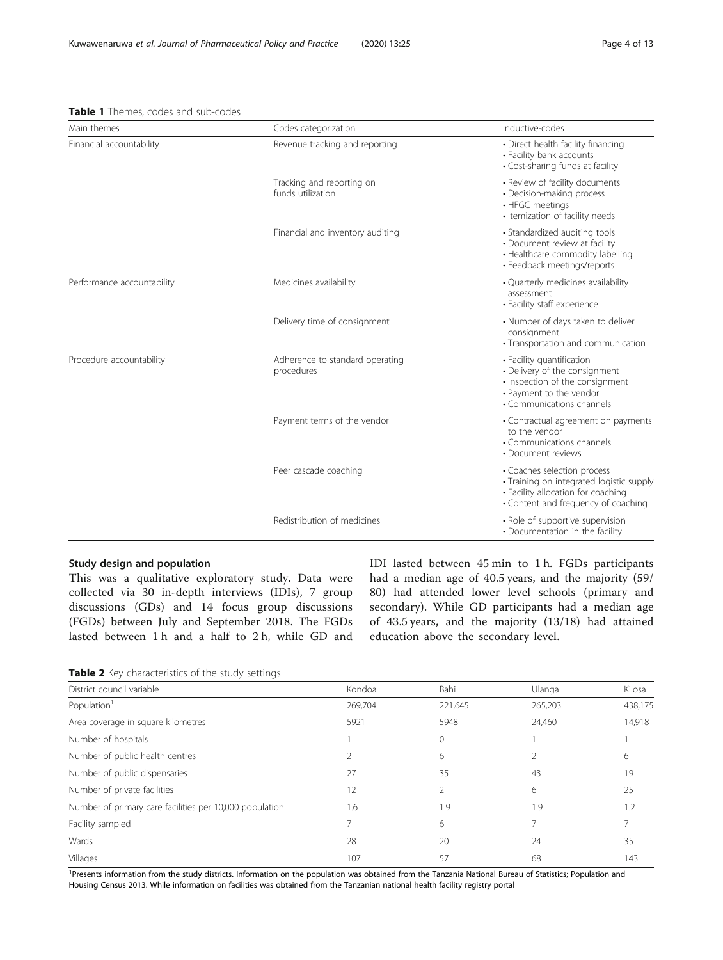# <span id="page-3-0"></span>Table 1 Themes, codes and sub-codes

| Main themes                | Codes categorization                           | Inductive-codes                                                                                                                                       |  |
|----------------------------|------------------------------------------------|-------------------------------------------------------------------------------------------------------------------------------------------------------|--|
| Financial accountability   | Revenue tracking and reporting                 | • Direct health facility financing<br>• Facility bank accounts<br>• Cost-sharing funds at facility                                                    |  |
|                            | Tracking and reporting on<br>funds utilization | • Review of facility documents<br>• Decision-making process<br>• HFGC meetings<br>• Itemization of facility needs                                     |  |
|                            | Financial and inventory auditing               | • Standardized auditing tools<br>• Document review at facility<br>• Healthcare commodity labelling<br>• Feedback meetings/reports                     |  |
| Performance accountability | Medicines availability                         | • Quarterly medicines availability<br>assessment<br>• Facility staff experience                                                                       |  |
|                            | Delivery time of consignment                   | • Number of days taken to deliver<br>consignment<br>• Transportation and communication                                                                |  |
| Procedure accountability   | Adherence to standard operating<br>procedures  | • Facility quantification<br>• Delivery of the consignment<br>· Inspection of the consignment<br>• Payment to the vendor<br>• Communications channels |  |
|                            | Payment terms of the vendor                    | • Contractual agreement on payments<br>to the vendor<br>• Communications channels<br>• Document reviews                                               |  |
|                            | Peer cascade coaching                          | • Coaches selection process<br>· Training on integrated logistic supply<br>• Facility allocation for coaching<br>• Content and frequency of coaching  |  |
|                            | Redistribution of medicines                    | • Role of supportive supervision<br>• Documentation in the facility                                                                                   |  |

# Study design and population

This was a qualitative exploratory study. Data were collected via 30 in-depth interviews (IDIs), 7 group discussions (GDs) and 14 focus group discussions (FGDs) between July and September 2018. The FGDs lasted between 1 h and a half to 2 h, while GD and

IDI lasted between 45 min to 1 h. FGDs participants had a median age of 40.5 years, and the majority (59/ 80) had attended lower level schools (primary and secondary). While GD participants had a median age of 43.5 years, and the majority (13/18) had attained education above the secondary level.

Table 2 Key characteristics of the study settings

| District council variable                               | Kondoa  | Bahi         | Ulanga  | Kilosa  |
|---------------------------------------------------------|---------|--------------|---------|---------|
| Population <sup>1</sup>                                 | 269,704 | 221,645      | 265,203 | 438,175 |
| Area coverage in square kilometres                      | 5921    | 5948         | 24,460  | 14,918  |
| Number of hospitals                                     |         | $\mathbf{0}$ |         |         |
| Number of public health centres                         |         | 6            |         | 6       |
| Number of public dispensaries                           | 27      | 35           | 43      | 19      |
| Number of private facilities                            | 12      |              | 6       | 25      |
| Number of primary care facilities per 10,000 population | 1.6     | 1.9          | 1.9     | 1.2     |
| Facility sampled                                        |         | 6            |         |         |
| Wards                                                   | 28      | 20           | 24      | 35      |
| Villages                                                | 107     | 57           | 68      | 143     |

<sup>1</sup>Presents information from the study districts. Information on the population was obtained from the Tanzania National Bureau of Statistics; Population and Housing Census 2013. While information on facilities was obtained from the Tanzanian national health facility registry portal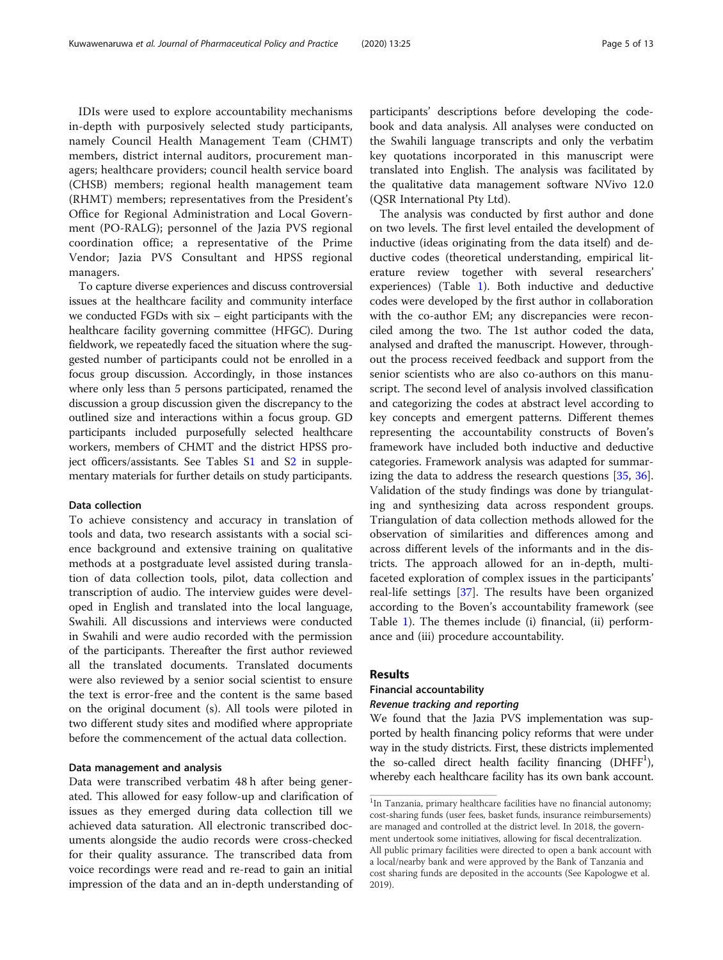IDIs were used to explore accountability mechanisms in-depth with purposively selected study participants, namely Council Health Management Team (CHMT) members, district internal auditors, procurement managers; healthcare providers; council health service board (CHSB) members; regional health management team (RHMT) members; representatives from the President's Office for Regional Administration and Local Government (PO-RALG); personnel of the Jazia PVS regional coordination office; a representative of the Prime Vendor; Jazia PVS Consultant and HPSS regional managers.

To capture diverse experiences and discuss controversial issues at the healthcare facility and community interface we conducted FGDs with six – eight participants with the healthcare facility governing committee (HFGC). During fieldwork, we repeatedly faced the situation where the suggested number of participants could not be enrolled in a focus group discussion. Accordingly, in those instances where only less than 5 persons participated, renamed the discussion a group discussion given the discrepancy to the outlined size and interactions within a focus group. GD participants included purposefully selected healthcare workers, members of CHMT and the district HPSS project officers/assistants. See Tables S[1](#page-10-0) and [S2](#page-10-0) in supplementary materials for further details on study participants.

# Data collection

To achieve consistency and accuracy in translation of tools and data, two research assistants with a social science background and extensive training on qualitative methods at a postgraduate level assisted during translation of data collection tools, pilot, data collection and transcription of audio. The interview guides were developed in English and translated into the local language, Swahili. All discussions and interviews were conducted in Swahili and were audio recorded with the permission of the participants. Thereafter the first author reviewed all the translated documents. Translated documents were also reviewed by a senior social scientist to ensure the text is error-free and the content is the same based on the original document (s). All tools were piloted in two different study sites and modified where appropriate before the commencement of the actual data collection.

# Data management and analysis

Data were transcribed verbatim 48 h after being generated. This allowed for easy follow-up and clarification of issues as they emerged during data collection till we achieved data saturation. All electronic transcribed documents alongside the audio records were cross-checked for their quality assurance. The transcribed data from voice recordings were read and re-read to gain an initial impression of the data and an in-depth understanding of participants' descriptions before developing the codebook and data analysis. All analyses were conducted on the Swahili language transcripts and only the verbatim key quotations incorporated in this manuscript were translated into English. The analysis was facilitated by the qualitative data management software NVivo 12.0 (QSR International Pty Ltd).

The analysis was conducted by first author and done on two levels. The first level entailed the development of inductive (ideas originating from the data itself) and deductive codes (theoretical understanding, empirical literature review together with several researchers' experiences) (Table [1](#page-3-0)). Both inductive and deductive codes were developed by the first author in collaboration with the co-author EM; any discrepancies were reconciled among the two. The 1st author coded the data, analysed and drafted the manuscript. However, throughout the process received feedback and support from the senior scientists who are also co-authors on this manuscript. The second level of analysis involved classification and categorizing the codes at abstract level according to key concepts and emergent patterns. Different themes representing the accountability constructs of Boven's framework have included both inductive and deductive categories. Framework analysis was adapted for summar-izing the data to address the research questions [\[35](#page-12-0), [36](#page-12-0)]. Validation of the study findings was done by triangulating and synthesizing data across respondent groups. Triangulation of data collection methods allowed for the observation of similarities and differences among and across different levels of the informants and in the districts. The approach allowed for an in-depth, multifaceted exploration of complex issues in the participants' real-life settings [\[37](#page-12-0)]. The results have been organized according to the Boven's accountability framework (see Table [1\)](#page-3-0). The themes include (i) financial, (ii) performance and (iii) procedure accountability.

# Results

# Financial accountability

# Revenue tracking and reporting

We found that the Jazia PVS implementation was supported by health financing policy reforms that were under way in the study districts. First, these districts implemented the so-called direct health facility financing (DHFF<sup>1</sup>), whereby each healthcare facility has its own bank account.

<sup>&</sup>lt;sup>1</sup>In Tanzania, primary healthcare facilities have no financial autonomy; cost-sharing funds (user fees, basket funds, insurance reimbursements) are managed and controlled at the district level. In 2018, the government undertook some initiatives, allowing for fiscal decentralization. All public primary facilities were directed to open a bank account with a local/nearby bank and were approved by the Bank of Tanzania and cost sharing funds are deposited in the accounts (See Kapologwe et al. 2019).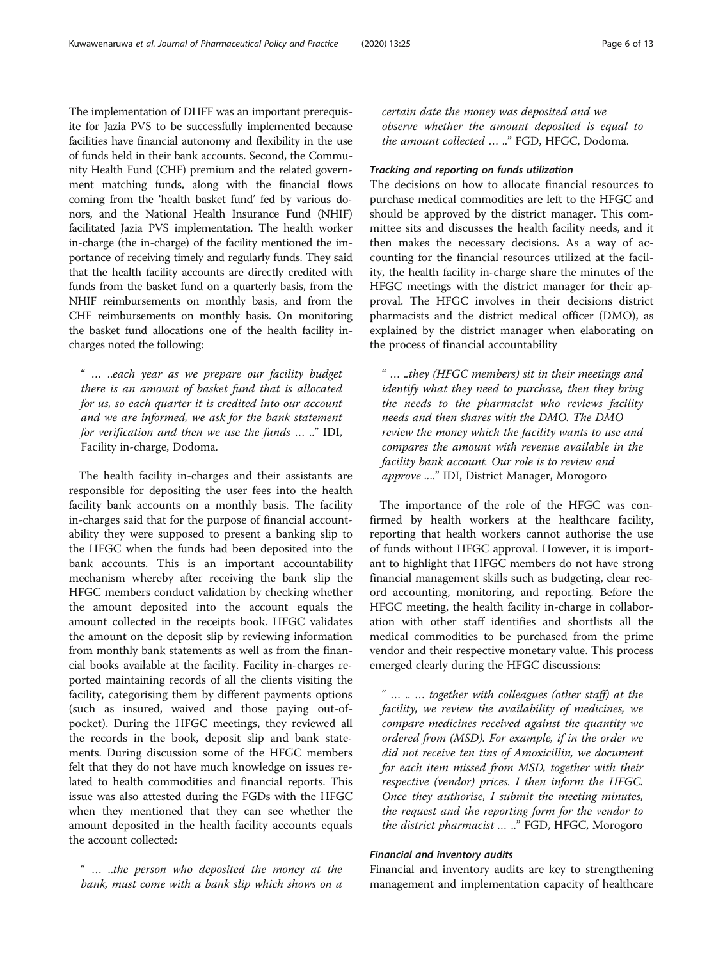The implementation of DHFF was an important prerequisite for Jazia PVS to be successfully implemented because facilities have financial autonomy and flexibility in the use of funds held in their bank accounts. Second, the Community Health Fund (CHF) premium and the related government matching funds, along with the financial flows coming from the 'health basket fund' fed by various donors, and the National Health Insurance Fund (NHIF) facilitated Jazia PVS implementation. The health worker in-charge (the in-charge) of the facility mentioned the importance of receiving timely and regularly funds. They said that the health facility accounts are directly credited with funds from the basket fund on a quarterly basis, from the NHIF reimbursements on monthly basis, and from the CHF reimbursements on monthly basis. On monitoring the basket fund allocations one of the health facility incharges noted the following:

" … ..each year as we prepare our facility budget there is an amount of basket fund that is allocated for us, so each quarter it is credited into our account and we are informed, we ask for the bank statement for verification and then we use the funds … .." IDI, Facility in-charge, Dodoma.

The health facility in-charges and their assistants are responsible for depositing the user fees into the health facility bank accounts on a monthly basis. The facility in-charges said that for the purpose of financial accountability they were supposed to present a banking slip to the HFGC when the funds had been deposited into the bank accounts. This is an important accountability mechanism whereby after receiving the bank slip the HFGC members conduct validation by checking whether the amount deposited into the account equals the amount collected in the receipts book. HFGC validates the amount on the deposit slip by reviewing information from monthly bank statements as well as from the financial books available at the facility. Facility in-charges reported maintaining records of all the clients visiting the facility, categorising them by different payments options (such as insured, waived and those paying out-ofpocket). During the HFGC meetings, they reviewed all the records in the book, deposit slip and bank statements. During discussion some of the HFGC members felt that they do not have much knowledge on issues related to health commodities and financial reports. This issue was also attested during the FGDs with the HFGC when they mentioned that they can see whether the amount deposited in the health facility accounts equals the account collected:

" … ..the person who deposited the money at the bank, must come with a bank slip which shows on a

certain date the money was deposited and we observe whether the amount deposited is equal to the amount collected … .." FGD, HFGC, Dodoma.

# Tracking and reporting on funds utilization

The decisions on how to allocate financial resources to purchase medical commodities are left to the HFGC and should be approved by the district manager. This committee sits and discusses the health facility needs, and it then makes the necessary decisions. As a way of accounting for the financial resources utilized at the facility, the health facility in-charge share the minutes of the HFGC meetings with the district manager for their approval. The HFGC involves in their decisions district pharmacists and the district medical officer (DMO), as explained by the district manager when elaborating on the process of financial accountability

" … ..they (HFGC members) sit in their meetings and identify what they need to purchase, then they bring the needs to the pharmacist who reviews facility needs and then shares with the DMO. The DMO review the money which the facility wants to use and compares the amount with revenue available in the facility bank account. Our role is to review and approve ...." IDI, District Manager, Morogoro

The importance of the role of the HFGC was confirmed by health workers at the healthcare facility, reporting that health workers cannot authorise the use of funds without HFGC approval. However, it is important to highlight that HFGC members do not have strong financial management skills such as budgeting, clear record accounting, monitoring, and reporting. Before the HFGC meeting, the health facility in-charge in collaboration with other staff identifies and shortlists all the medical commodities to be purchased from the prime vendor and their respective monetary value. This process emerged clearly during the HFGC discussions:

" … .. … together with colleagues (other staff) at the facility, we review the availability of medicines, we compare medicines received against the quantity we ordered from (MSD). For example, if in the order we did not receive ten tins of Amoxicillin, we document for each item missed from MSD, together with their respective (vendor) prices. I then inform the HFGC. Once they authorise, I submit the meeting minutes, the request and the reporting form for the vendor to the district pharmacist … .." FGD, HFGC, Morogoro

#### Financial and inventory audits

Financial and inventory audits are key to strengthening management and implementation capacity of healthcare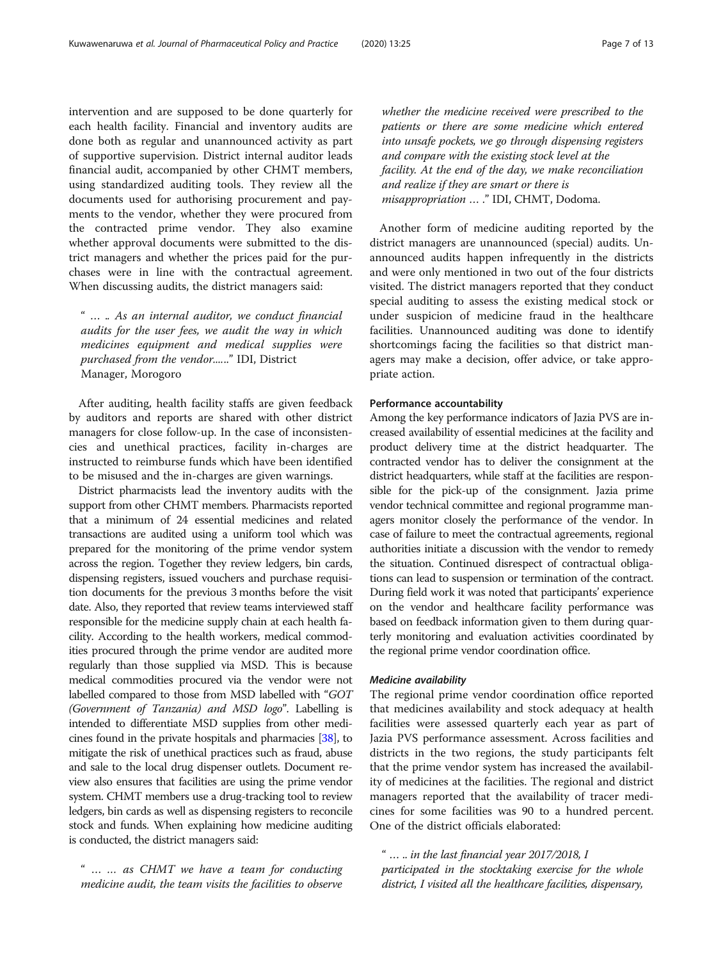intervention and are supposed to be done quarterly for each health facility. Financial and inventory audits are done both as regular and unannounced activity as part of supportive supervision. District internal auditor leads financial audit, accompanied by other CHMT members, using standardized auditing tools. They review all the documents used for authorising procurement and payments to the vendor, whether they were procured from the contracted prime vendor. They also examine whether approval documents were submitted to the district managers and whether the prices paid for the purchases were in line with the contractual agreement. When discussing audits, the district managers said:

" … .. As an internal auditor, we conduct financial audits for the user fees, we audit the way in which medicines equipment and medical supplies were purchased from the vendor......" IDI, District Manager, Morogoro

After auditing, health facility staffs are given feedback by auditors and reports are shared with other district managers for close follow-up. In the case of inconsistencies and unethical practices, facility in-charges are instructed to reimburse funds which have been identified to be misused and the in-charges are given warnings.

District pharmacists lead the inventory audits with the support from other CHMT members. Pharmacists reported that a minimum of 24 essential medicines and related transactions are audited using a uniform tool which was prepared for the monitoring of the prime vendor system across the region. Together they review ledgers, bin cards, dispensing registers, issued vouchers and purchase requisition documents for the previous 3 months before the visit date. Also, they reported that review teams interviewed staff responsible for the medicine supply chain at each health facility. According to the health workers, medical commodities procured through the prime vendor are audited more regularly than those supplied via MSD. This is because medical commodities procured via the vendor were not labelled compared to those from MSD labelled with "GOT (Government of Tanzania) and MSD logo". Labelling is intended to differentiate MSD supplies from other medicines found in the private hospitals and pharmacies [\[38\]](#page-12-0), to mitigate the risk of unethical practices such as fraud, abuse and sale to the local drug dispenser outlets. Document review also ensures that facilities are using the prime vendor system. CHMT members use a drug-tracking tool to review ledgers, bin cards as well as dispensing registers to reconcile stock and funds. When explaining how medicine auditing is conducted, the district managers said:

" … … as CHMT we have a team for conducting medicine audit, the team visits the facilities to observe

whether the medicine received were prescribed to the patients or there are some medicine which entered into unsafe pockets, we go through dispensing registers and compare with the existing stock level at the facility. At the end of the day, we make reconciliation and realize if they are smart or there is misappropriation … ." IDI, CHMT, Dodoma.

Another form of medicine auditing reported by the district managers are unannounced (special) audits. Unannounced audits happen infrequently in the districts and were only mentioned in two out of the four districts visited. The district managers reported that they conduct special auditing to assess the existing medical stock or under suspicion of medicine fraud in the healthcare facilities. Unannounced auditing was done to identify shortcomings facing the facilities so that district managers may make a decision, offer advice, or take appropriate action.

#### Performance accountability

Among the key performance indicators of Jazia PVS are increased availability of essential medicines at the facility and product delivery time at the district headquarter. The contracted vendor has to deliver the consignment at the district headquarters, while staff at the facilities are responsible for the pick-up of the consignment. Jazia prime vendor technical committee and regional programme managers monitor closely the performance of the vendor. In case of failure to meet the contractual agreements, regional authorities initiate a discussion with the vendor to remedy the situation. Continued disrespect of contractual obligations can lead to suspension or termination of the contract. During field work it was noted that participants' experience on the vendor and healthcare facility performance was based on feedback information given to them during quarterly monitoring and evaluation activities coordinated by the regional prime vendor coordination office.

#### Medicine availability

The regional prime vendor coordination office reported that medicines availability and stock adequacy at health facilities were assessed quarterly each year as part of Jazia PVS performance assessment. Across facilities and districts in the two regions, the study participants felt that the prime vendor system has increased the availability of medicines at the facilities. The regional and district managers reported that the availability of tracer medicines for some facilities was 90 to a hundred percent. One of the district officials elaborated:

" … .. in the last financial year 2017/2018, I participated in the stocktaking exercise for the whole district, I visited all the healthcare facilities, dispensary,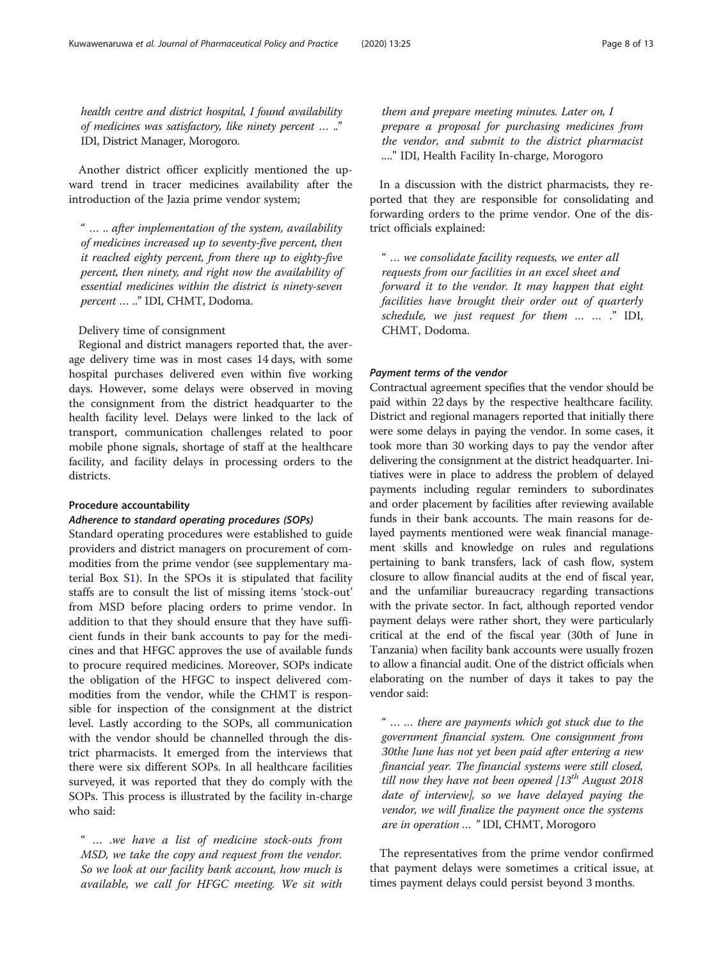health centre and district hospital, I found availability of medicines was satisfactory, like ninety percent … .." IDI, District Manager, Morogoro.

Another district officer explicitly mentioned the upward trend in tracer medicines availability after the introduction of the Jazia prime vendor system;

" … .. after implementation of the system, availability of medicines increased up to seventy-five percent, then it reached eighty percent, from there up to eighty-five percent, then ninety, and right now the availability of essential medicines within the district is ninety-seven percent … .." IDI, CHMT, Dodoma.

Delivery time of consignment

Regional and district managers reported that, the average delivery time was in most cases 14 days, with some hospital purchases delivered even within five working days. However, some delays were observed in moving the consignment from the district headquarter to the health facility level. Delays were linked to the lack of transport, communication challenges related to poor mobile phone signals, shortage of staff at the healthcare facility, and facility delays in processing orders to the districts.

# Procedure accountability

#### Adherence to standard operating procedures (SOPs)

Standard operating procedures were established to guide providers and district managers on procurement of commodities from the prime vendor (see supplementary material Box S[1\)](#page-10-0). In the SPOs it is stipulated that facility staffs are to consult the list of missing items 'stock-out' from MSD before placing orders to prime vendor. In addition to that they should ensure that they have sufficient funds in their bank accounts to pay for the medicines and that HFGC approves the use of available funds to procure required medicines. Moreover, SOPs indicate the obligation of the HFGC to inspect delivered commodities from the vendor, while the CHMT is responsible for inspection of the consignment at the district level. Lastly according to the SOPs, all communication with the vendor should be channelled through the district pharmacists. It emerged from the interviews that there were six different SOPs. In all healthcare facilities surveyed, it was reported that they do comply with the SOPs. This process is illustrated by the facility in-charge who said:

" … .we have a list of medicine stock-outs from MSD, we take the copy and request from the vendor. So we look at our facility bank account, how much is available, we call for HFGC meeting. We sit with

them and prepare meeting minutes. Later on, I prepare a proposal for purchasing medicines from the vendor, and submit to the district pharmacist ...." IDI, Health Facility In-charge, Morogoro

In a discussion with the district pharmacists, they reported that they are responsible for consolidating and forwarding orders to the prime vendor. One of the district officials explained:

" … we consolidate facility requests, we enter all requests from our facilities in an excel sheet and forward it to the vendor. It may happen that eight facilities have brought their order out of quarterly schedule, we just request for them … … ." IDI, CHMT, Dodoma.

#### Payment terms of the vendor

Contractual agreement specifies that the vendor should be paid within 22 days by the respective healthcare facility. District and regional managers reported that initially there were some delays in paying the vendor. In some cases, it took more than 30 working days to pay the vendor after delivering the consignment at the district headquarter. Initiatives were in place to address the problem of delayed payments including regular reminders to subordinates and order placement by facilities after reviewing available funds in their bank accounts. The main reasons for delayed payments mentioned were weak financial management skills and knowledge on rules and regulations pertaining to bank transfers, lack of cash flow, system closure to allow financial audits at the end of fiscal year, and the unfamiliar bureaucracy regarding transactions with the private sector. In fact, although reported vendor payment delays were rather short, they were particularly critical at the end of the fiscal year (30th of June in Tanzania) when facility bank accounts were usually frozen to allow a financial audit. One of the district officials when elaborating on the number of days it takes to pay the vendor said:

" … … there are payments which got stuck due to the government financial system. One consignment from 30the June has not yet been paid after entering a new financial year. The financial systems were still closed, till now they have not been opened  $13^{th}$  August 2018 date of interview], so we have delayed paying the vendor, we will finalize the payment once the systems are in operation … " IDI, CHMT, Morogoro

The representatives from the prime vendor confirmed that payment delays were sometimes a critical issue, at times payment delays could persist beyond 3 months.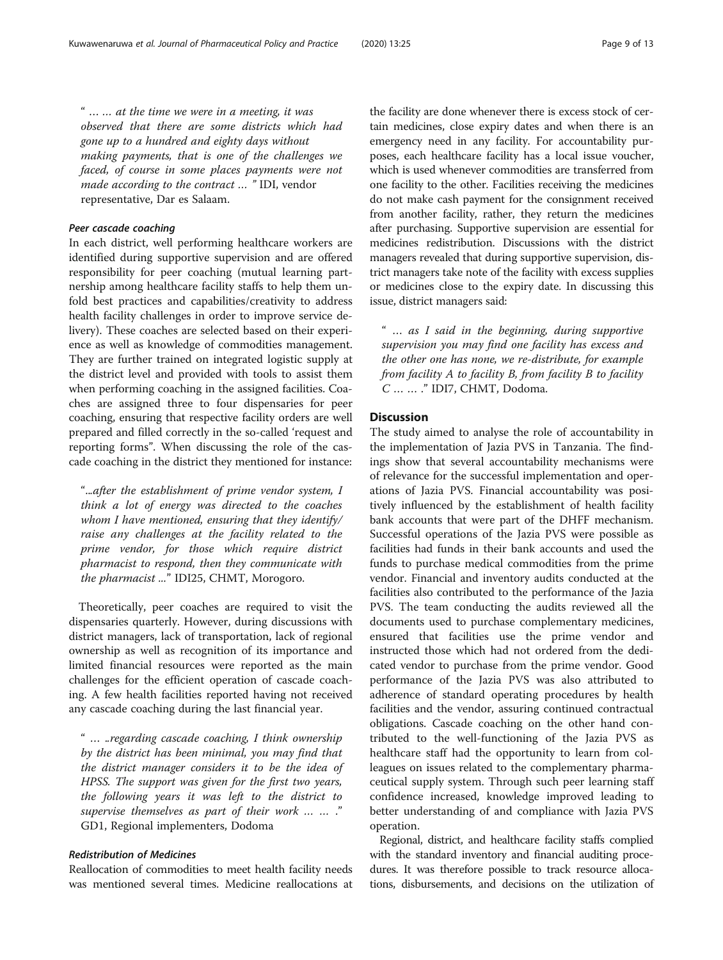" … … at the time we were in a meeting, it was observed that there are some districts which had gone up to a hundred and eighty days without making payments, that is one of the challenges we faced, of course in some places payments were not made according to the contract … " IDI, vendor representative, Dar es Salaam.

#### Peer cascade coaching

In each district, well performing healthcare workers are identified during supportive supervision and are offered responsibility for peer coaching (mutual learning partnership among healthcare facility staffs to help them unfold best practices and capabilities/creativity to address health facility challenges in order to improve service delivery). These coaches are selected based on their experience as well as knowledge of commodities management. They are further trained on integrated logistic supply at the district level and provided with tools to assist them when performing coaching in the assigned facilities. Coaches are assigned three to four dispensaries for peer coaching, ensuring that respective facility orders are well prepared and filled correctly in the so-called 'request and reporting forms". When discussing the role of the cascade coaching in the district they mentioned for instance:

"...after the establishment of prime vendor system, I think a lot of energy was directed to the coaches whom I have mentioned, ensuring that they identify/ raise any challenges at the facility related to the prime vendor, for those which require district pharmacist to respond, then they communicate with the pharmacist ..." IDI25, CHMT, Morogoro.

Theoretically, peer coaches are required to visit the dispensaries quarterly. However, during discussions with district managers, lack of transportation, lack of regional ownership as well as recognition of its importance and limited financial resources were reported as the main challenges for the efficient operation of cascade coaching. A few health facilities reported having not received any cascade coaching during the last financial year.

" … ..regarding cascade coaching, I think ownership by the district has been minimal, you may find that the district manager considers it to be the idea of HPSS. The support was given for the first two years, the following years it was left to the district to supervise themselves as part of their work … … ." GD1, Regional implementers, Dodoma

# Redistribution of Medicines

Reallocation of commodities to meet health facility needs was mentioned several times. Medicine reallocations at

the facility are done whenever there is excess stock of certain medicines, close expiry dates and when there is an emergency need in any facility. For accountability purposes, each healthcare facility has a local issue voucher, which is used whenever commodities are transferred from one facility to the other. Facilities receiving the medicines do not make cash payment for the consignment received from another facility, rather, they return the medicines after purchasing. Supportive supervision are essential for medicines redistribution. Discussions with the district managers revealed that during supportive supervision, district managers take note of the facility with excess supplies or medicines close to the expiry date. In discussing this issue, district managers said:

" … as I said in the beginning, during supportive supervision you may find one facility has excess and the other one has none, we re-distribute, for example from facility A to facility B, from facility B to facility C … … ." IDI7, CHMT, Dodoma.

# **Discussion**

The study aimed to analyse the role of accountability in the implementation of Jazia PVS in Tanzania. The findings show that several accountability mechanisms were of relevance for the successful implementation and operations of Jazia PVS. Financial accountability was positively influenced by the establishment of health facility bank accounts that were part of the DHFF mechanism. Successful operations of the Jazia PVS were possible as facilities had funds in their bank accounts and used the funds to purchase medical commodities from the prime vendor. Financial and inventory audits conducted at the facilities also contributed to the performance of the Jazia PVS. The team conducting the audits reviewed all the documents used to purchase complementary medicines, ensured that facilities use the prime vendor and instructed those which had not ordered from the dedicated vendor to purchase from the prime vendor. Good performance of the Jazia PVS was also attributed to adherence of standard operating procedures by health facilities and the vendor, assuring continued contractual obligations. Cascade coaching on the other hand contributed to the well-functioning of the Jazia PVS as healthcare staff had the opportunity to learn from colleagues on issues related to the complementary pharmaceutical supply system. Through such peer learning staff confidence increased, knowledge improved leading to better understanding of and compliance with Jazia PVS operation.

Regional, district, and healthcare facility staffs complied with the standard inventory and financial auditing procedures. It was therefore possible to track resource allocations, disbursements, and decisions on the utilization of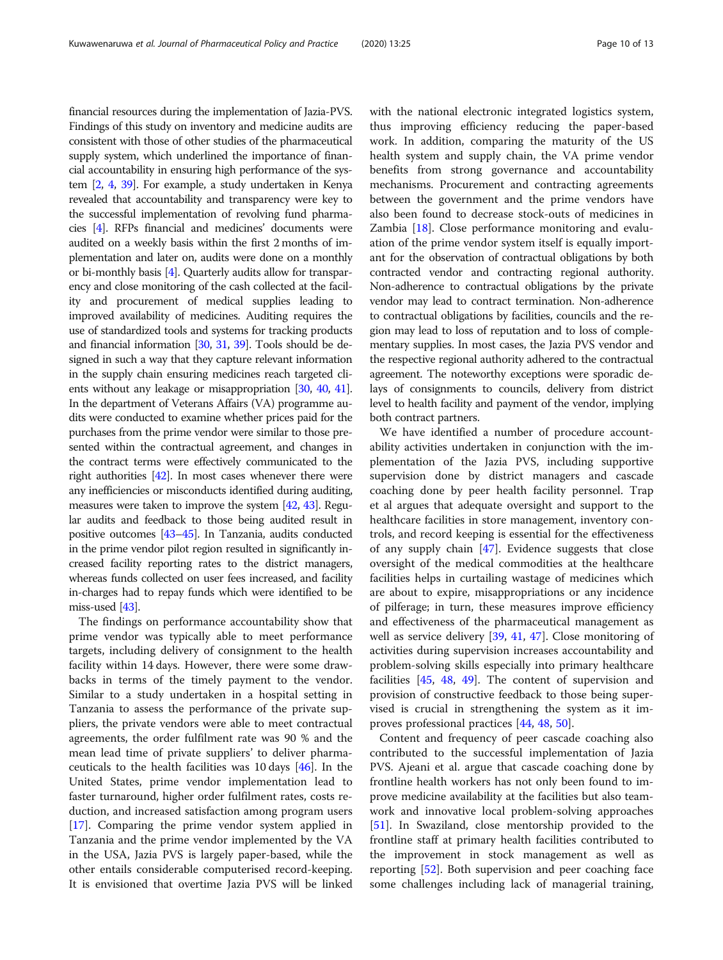financial resources during the implementation of Jazia-PVS. Findings of this study on inventory and medicine audits are consistent with those of other studies of the pharmaceutical supply system, which underlined the importance of financial accountability in ensuring high performance of the system [[2](#page-11-0), [4,](#page-11-0) [39](#page-12-0)]. For example, a study undertaken in Kenya revealed that accountability and transparency were key to the successful implementation of revolving fund pharmacies [\[4](#page-11-0)]. RFPs financial and medicines' documents were audited on a weekly basis within the first 2 months of implementation and later on, audits were done on a monthly or bi-monthly basis [[4](#page-11-0)]. Quarterly audits allow for transparency and close monitoring of the cash collected at the facility and procurement of medical supplies leading to improved availability of medicines. Auditing requires the use of standardized tools and systems for tracking products and financial information [\[30,](#page-12-0) [31](#page-12-0), [39](#page-12-0)]. Tools should be designed in such a way that they capture relevant information in the supply chain ensuring medicines reach targeted clients without any leakage or misappropriation [\[30](#page-12-0), [40](#page-12-0), [41](#page-12-0)]. In the department of Veterans Affairs (VA) programme audits were conducted to examine whether prices paid for the purchases from the prime vendor were similar to those presented within the contractual agreement, and changes in the contract terms were effectively communicated to the right authorities [[42](#page-12-0)]. In most cases whenever there were any inefficiencies or misconducts identified during auditing, measures were taken to improve the system [[42](#page-12-0), [43](#page-12-0)]. Regular audits and feedback to those being audited result in positive outcomes [\[43](#page-12-0)–[45\]](#page-12-0). In Tanzania, audits conducted in the prime vendor pilot region resulted in significantly increased facility reporting rates to the district managers, whereas funds collected on user fees increased, and facility in-charges had to repay funds which were identified to be miss-used [\[43\]](#page-12-0).

The findings on performance accountability show that prime vendor was typically able to meet performance targets, including delivery of consignment to the health facility within 14 days. However, there were some drawbacks in terms of the timely payment to the vendor. Similar to a study undertaken in a hospital setting in Tanzania to assess the performance of the private suppliers, the private vendors were able to meet contractual agreements, the order fulfilment rate was 90 % and the mean lead time of private suppliers' to deliver pharmaceuticals to the health facilities was 10 days [\[46\]](#page-12-0). In the United States, prime vendor implementation lead to faster turnaround, higher order fulfilment rates, costs reduction, and increased satisfaction among program users [[17\]](#page-11-0). Comparing the prime vendor system applied in Tanzania and the prime vendor implemented by the VA in the USA, Jazia PVS is largely paper-based, while the other entails considerable computerised record-keeping. It is envisioned that overtime Jazia PVS will be linked with the national electronic integrated logistics system, thus improving efficiency reducing the paper-based work. In addition, comparing the maturity of the US health system and supply chain, the VA prime vendor benefits from strong governance and accountability mechanisms. Procurement and contracting agreements between the government and the prime vendors have also been found to decrease stock-outs of medicines in Zambia [[18\]](#page-11-0). Close performance monitoring and evaluation of the prime vendor system itself is equally important for the observation of contractual obligations by both contracted vendor and contracting regional authority. Non-adherence to contractual obligations by the private vendor may lead to contract termination. Non-adherence to contractual obligations by facilities, councils and the region may lead to loss of reputation and to loss of complementary supplies. In most cases, the Jazia PVS vendor and the respective regional authority adhered to the contractual agreement. The noteworthy exceptions were sporadic delays of consignments to councils, delivery from district level to health facility and payment of the vendor, implying both contract partners.

We have identified a number of procedure accountability activities undertaken in conjunction with the implementation of the Jazia PVS, including supportive supervision done by district managers and cascade coaching done by peer health facility personnel. Trap et al argues that adequate oversight and support to the healthcare facilities in store management, inventory controls, and record keeping is essential for the effectiveness of any supply chain [[47\]](#page-12-0). Evidence suggests that close oversight of the medical commodities at the healthcare facilities helps in curtailing wastage of medicines which are about to expire, misappropriations or any incidence of pilferage; in turn, these measures improve efficiency and effectiveness of the pharmaceutical management as well as service delivery [[39,](#page-12-0) [41,](#page-12-0) [47](#page-12-0)]. Close monitoring of activities during supervision increases accountability and problem-solving skills especially into primary healthcare facilities [\[45](#page-12-0), [48](#page-12-0), [49\]](#page-12-0). The content of supervision and provision of constructive feedback to those being supervised is crucial in strengthening the system as it improves professional practices [\[44](#page-12-0), [48,](#page-12-0) [50\]](#page-12-0).

Content and frequency of peer cascade coaching also contributed to the successful implementation of Jazia PVS. Ajeani et al. argue that cascade coaching done by frontline health workers has not only been found to improve medicine availability at the facilities but also teamwork and innovative local problem-solving approaches [[51\]](#page-12-0). In Swaziland, close mentorship provided to the frontline staff at primary health facilities contributed to the improvement in stock management as well as reporting [[52](#page-12-0)]. Both supervision and peer coaching face some challenges including lack of managerial training,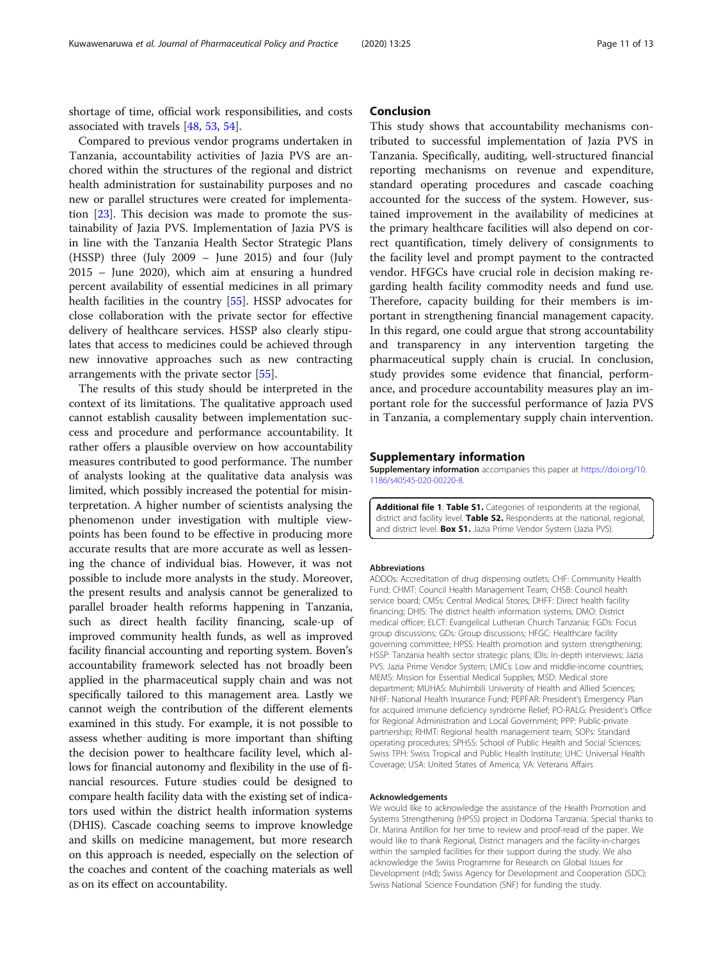<span id="page-10-0"></span>shortage of time, official work responsibilities, and costs associated with travels [\[48](#page-12-0), [53,](#page-12-0) [54\]](#page-12-0).

Compared to previous vendor programs undertaken in Tanzania, accountability activities of Jazia PVS are anchored within the structures of the regional and district health administration for sustainability purposes and no new or parallel structures were created for implementation [\[23](#page-11-0)]. This decision was made to promote the sustainability of Jazia PVS. Implementation of Jazia PVS is in line with the Tanzania Health Sector Strategic Plans (HSSP) three (July 2009 – June 2015) and four (July 2015 – June 2020), which aim at ensuring a hundred percent availability of essential medicines in all primary health facilities in the country [[55\]](#page-12-0). HSSP advocates for close collaboration with the private sector for effective delivery of healthcare services. HSSP also clearly stipulates that access to medicines could be achieved through new innovative approaches such as new contracting arrangements with the private sector [\[55](#page-12-0)].

The results of this study should be interpreted in the context of its limitations. The qualitative approach used cannot establish causality between implementation success and procedure and performance accountability. It rather offers a plausible overview on how accountability measures contributed to good performance. The number of analysts looking at the qualitative data analysis was limited, which possibly increased the potential for misinterpretation. A higher number of scientists analysing the phenomenon under investigation with multiple viewpoints has been found to be effective in producing more accurate results that are more accurate as well as lessening the chance of individual bias. However, it was not possible to include more analysts in the study. Moreover, the present results and analysis cannot be generalized to parallel broader health reforms happening in Tanzania, such as direct health facility financing, scale-up of improved community health funds, as well as improved facility financial accounting and reporting system. Boven's accountability framework selected has not broadly been applied in the pharmaceutical supply chain and was not specifically tailored to this management area. Lastly we cannot weigh the contribution of the different elements examined in this study. For example, it is not possible to assess whether auditing is more important than shifting the decision power to healthcare facility level, which allows for financial autonomy and flexibility in the use of financial resources. Future studies could be designed to compare health facility data with the existing set of indicators used within the district health information systems (DHIS). Cascade coaching seems to improve knowledge and skills on medicine management, but more research on this approach is needed, especially on the selection of the coaches and content of the coaching materials as well as on its effect on accountability.

# Conclusion

This study shows that accountability mechanisms contributed to successful implementation of Jazia PVS in Tanzania. Specifically, auditing, well-structured financial reporting mechanisms on revenue and expenditure, standard operating procedures and cascade coaching accounted for the success of the system. However, sustained improvement in the availability of medicines at the primary healthcare facilities will also depend on correct quantification, timely delivery of consignments to the facility level and prompt payment to the contracted vendor. HFGCs have crucial role in decision making regarding health facility commodity needs and fund use. Therefore, capacity building for their members is important in strengthening financial management capacity. In this regard, one could argue that strong accountability and transparency in any intervention targeting the pharmaceutical supply chain is crucial. In conclusion, study provides some evidence that financial, performance, and procedure accountability measures play an important role for the successful performance of Jazia PVS in Tanzania, a complementary supply chain intervention.

#### Supplementary information

Supplementary information accompanies this paper at [https://doi.org/10.](https://doi.org/10.1186/s40545-020-00220-8) [1186/s40545-020-00220-8](https://doi.org/10.1186/s40545-020-00220-8).

Additional file 1: Table S1. Categories of respondents at the regional, district and facility level. Table S2. Respondents at the national, regional, and district level. **Box S1.** Jazia Prime Vendor System (Jazia PVS).

#### Abbreviations

ADDOs: Accreditation of drug dispensing outlets; CHF: Community Health Fund; CHMT: Council Health Management Team; CHSB: Council health service board; CMSs: Central Medical Stores; DHFF: Direct health facility financing; DHIS: The district health information systems; DMO: District medical officer; ELCT: Evangelical Lutheran Church Tanzania; FGDs: Focus group discussions; GDs: Group discussions; HFGC: Healthcare facility governing committee; HPSS: Health promotion and system strengthening; HSSP: Tanzania health sector strategic plans; IDIs: In-depth interviews; Jazia PVS: Jazia Prime Vendor System; LMICs: Low and middle-income countries; MEMS: Mission for Essential Medical Supplies; MSD: Medical store department; MUHAS: Muhimbili University of Health and Allied Sciences; NHIF: National Health Insurance Fund; PEPFAR: President's Emergency Plan for acquired immune deficiency syndrome Relief; PO-RALG: President's Office for Regional Administration and Local Government; PPP: Public-private partnership; RHMT: Regional health management team; SOPs: Standard operating procedures; SPHSS: School of Public Health and Social Sciences; Swiss TPH: Swiss Tropical and Public Health Institute; UHC: Universal Health Coverage; USA: United States of America; VA: Veterans Affairs

#### Acknowledgements

We would like to acknowledge the assistance of the Health Promotion and Systems Strengthening (HPSS) project in Dodoma Tanzania. Special thanks to Dr. Marina Antillon for her time to review and proof-read of the paper. We would like to thank Regional, District managers and the facility-in-charges within the sampled facilities for their support during the study. We also acknowledge the Swiss Programme for Research on Global Issues for Development (r4d); Swiss Agency for Development and Cooperation (SDC); Swiss National Science Foundation (SNF) for funding the study.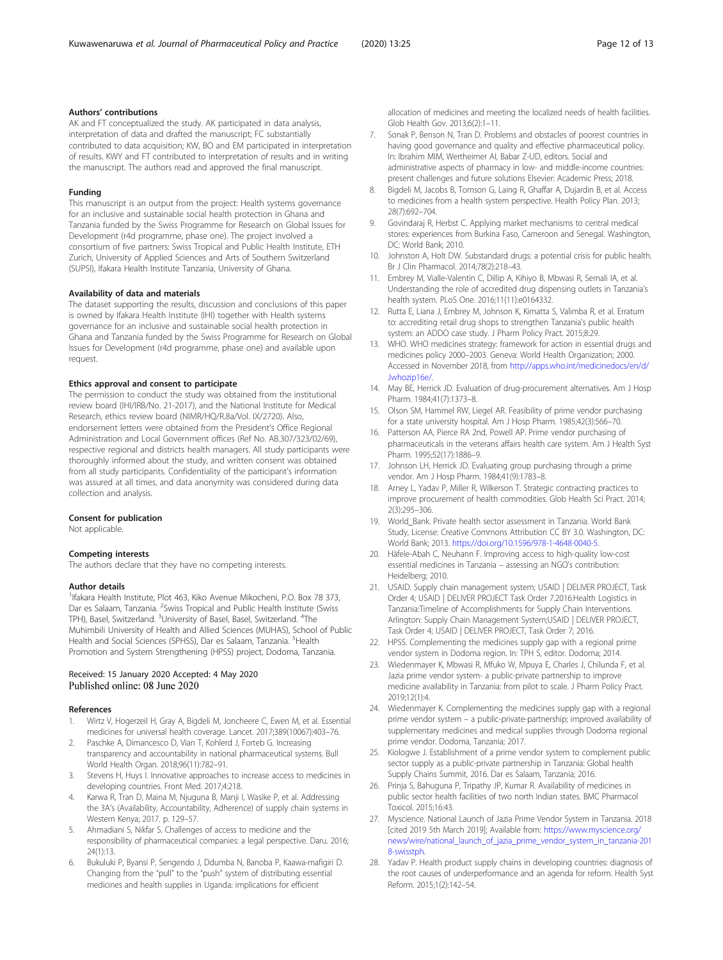#### <span id="page-11-0"></span>Authors' contributions

AK and FT conceptualized the study. AK participated in data analysis, interpretation of data and drafted the manuscript; FC substantially contributed to data acquisition; KW, BO and EM participated in interpretation of results. KWY and FT contributed to interpretation of results and in writing the manuscript. The authors read and approved the final manuscript.

#### Funding

This manuscript is an output from the project: Health systems governance for an inclusive and sustainable social health protection in Ghana and Tanzania funded by the Swiss Programme for Research on Global Issues for Development (r4d programme, phase one). The project involved a consortium of five partners: Swiss Tropical and Public Health Institute, ETH Zurich, University of Applied Sciences and Arts of Southern Switzerland (SUPSI), Ifakara Health Institute Tanzania, University of Ghana.

#### Availability of data and materials

The dataset supporting the results, discussion and conclusions of this paper is owned by Ifakara Health Institute (IHI) together with Health systems governance for an inclusive and sustainable social health protection in Ghana and Tanzania funded by the Swiss Programme for Research on Global Issues for Development (r4d programme, phase one) and available upon request.

#### Ethics approval and consent to participate

The permission to conduct the study was obtained from the institutional review board (IHI/IRB/No. 21-2017), and the National Institute for Medical Research, ethics review board (NIMR/HQ/R.8a/Vol. IX/2720). Also, endorsement letters were obtained from the President's Office Regional Administration and Local Government offices (Ref No. AB.307/323/02/69), respective regional and districts health managers. All study participants were thoroughly informed about the study, and written consent was obtained from all study participants. Confidentiality of the participant's information was assured at all times, and data anonymity was considered during data collection and analysis.

#### Consent for publication

Not applicable.

#### Competing interests

The authors declare that they have no competing interests.

#### Author details

<sup>1</sup> Ifakara Health Institute, Plot 463, Kiko Avenue Mikocheni, P.O. Box 78 373, Dar es Salaam, Tanzania. <sup>2</sup>Swiss Tropical and Public Health Institute (Swiss TPH), Basel, Switzerland. <sup>3</sup>University of Basel, Basel, Switzerland. <sup>4</sup>The Muhimbili University of Health and Allied Sciences (MUHAS), School of Public Health and Social Sciences (SPHSS), Dar es Salaam, Tanzania. <sup>5</sup>Health Promotion and System Strengthening (HPSS) project, Dodoma, Tanzania.

#### Received: 15 January 2020 Accepted: 4 May 2020 Published online: 08 June 2020

#### References

- 1. Wirtz V, Hogerzeil H, Gray A, Bigdeli M, Joncheere C, Ewen M, et al. Essential medicines for universal health coverage. Lancet. 2017;389(10067):403–76.
- 2. Paschke A, Dimancesco D, Vian T, Kohlerd J, Forteb G. Increasing transparency and accountability in national pharmaceutical systems. Bull World Health Organ. 2018;96(11):782–91.
- 3. Stevens H, Huys I. Innovative approaches to increase access to medicines in developing countries. Front Med. 2017;4:218.
- 4. Karwa R, Tran D, Maina M, Njuguna B, Manji I, Wasike P, et al. Addressing the 3A's (Availability, Accountability, Adherence) of supply chain systems in Western Kenya; 2017. p. 129–57.
- 5. Ahmadiani S, Nikfar S. Challenges of access to medicine and the responsibility of pharmaceutical companies: a legal perspective. Daru. 2016; 24(1):13.
- 6. Bukuluki P, Byansi P, Sengendo J, Ddumba N, Banoba P, Kaawa-mafigiri D. Changing from the "pull" to the "push" system of distributing essential medicines and health supplies in Uganda: implications for efficient

allocation of medicines and meeting the localized needs of health facilities. Glob Health Gov. 2013;6(2):1–11.

- 7. Sonak P, Benson N, Tran D. Problems and obstacles of poorest countries in having good governance and quality and effective pharmaceutical policy. In: Ibrahim MIM, Wertheimer AI, Babar Z-UD, editors. Social and administrative aspects of pharmacy in low- and middle-income countries: present challenges and future solutions Elsevier: Academic Press; 2018.
- 8. Bigdeli M, Jacobs B, Tomson G, Laing R, Ghaffar A, Dujardin B, et al. Access to medicines from a health system perspective. Health Policy Plan. 2013; 28(7):692–704.
- 9. Govindaraj R, Herbst C. Applying market mechanisms to central medical stores: experiences from Burkina Faso, Cameroon and Senegal. Washington, DC: World Bank; 2010.
- 10. Johnston A, Holt DW. Substandard drugs: a potential crisis for public health. Br J Clin Pharmacol. 2014;78(2):218–43.
- 11. Embrey M, Vialle-Valentin C, Dillip A, Kihiyo B, Mbwasi R, Semali IA, et al. Understanding the role of accredited drug dispensing outlets in Tanzania's health system. PLoS One. 2016;11(11):e0164332.
- 12. Rutta E, Liana J, Embrey M, Johnson K, Kimatta S, Valimba R, et al. Erratum to: accrediting retail drug shops to strengthen Tanzania's public health system: an ADDO case study. J Pharm Policy Pract. 2015;8:29.
- 13. WHO. WHO medicines strategy: framework for action in essential drugs and medicines policy 2000–2003. Geneva: World Health Organization; 2000. Accessed in November 2018, from [http://apps.who.int/medicinedocs/en/d/](http://apps.who.int/medicinedocs/en/d/Jwhozip16e/) Jwhozip16e/
- 14. May BE, Herrick JD. Evaluation of drug-procurement alternatives. Am J Hosp Pharm. 1984;41(7):1373–8.
- 15. Olson SM, Hammel RW, Liegel AR. Feasibility of prime vendor purchasing for a state university hospital. Am J Hosp Pharm. 1985;42(3):566–70.
- 16. Patterson AA, Pierce RA 2nd, Powell AP. Prime vendor purchasing of pharmaceuticals in the veterans affairs health care system. Am J Health Syst Pharm. 1995;52(17):1886–9.
- 17. Johnson LH, Herrick JD. Evaluating group purchasing through a prime vendor. Am J Hosp Pharm. 1984;41(9):1783–8.
- 18. Arney L, Yadav P, Miller R, Wilkerson T. Strategic contracting practices to improve procurement of health commodities. Glob Health Sci Pract. 2014; 2(3):295–306.
- 19. World Bank. Private health sector assessment in Tanzania. World Bank Study, License: Creative Commons Attribution CC BY 3.0. Washington, DC: World Bank; 2013. [https://doi.org/10.1596/978-1-4648-0040-5.](https://doi.org/10.1596/978-1-4648-0040-5)
- 20. Häfele-Abah C, Neuhann F. Improving access to high-quality low-cost essential medicines in Tanzania – assessing an NGO's contribution: Heidelberg; 2010.
- 21. USAID. Supply chain management system; USAID | DELIVER PROJECT, Task Order 4; USAID | DELIVER PROJECT Task Order 7.2016.Health Logistics in Tanzania:Timeline of Accomplishments for Supply Chain Interventions. Arlington: Supply Chain Management System;USAID | DELIVER PROJECT, Task Order 4; USAID | DELIVER PROJECT, Task Order 7; 2016.
- 22. HPSS. Complementing the medicines supply gap with a regional prime vendor system in Dodoma region. In: TPH S, editor. Dodoma; 2014.
- 23. Wiedenmayer K, Mbwasi R, Mfuko W, Mpuya E, Charles J, Chilunda F, et al. Jazia prime vendor system- a public-private partnership to improve medicine availability in Tanzania: from pilot to scale. J Pharm Policy Pract. 2019;12(1):4.
- 24. Wiedenmayer K. Complementing the medicines supply gap with a regional prime vendor system – a public-private-partnership; improved availability of supplementary medicines and medical supplies through Dodoma regional prime vendor. Dodoma, Tanzania; 2017.
- 25. Kiologwe J. Establishment of a prime vendor system to complement public sector supply as a public-private partnership in Tanzania: Global health Supply Chains Summit, 2016. Dar es Salaam, Tanzania; 2016.
- 26. Prinja S, Bahuguna P, Tripathy JP, Kumar R. Availability of medicines in public sector health facilities of two north Indian states. BMC Pharmacol Toxicol. 2015;16:43.
- 27. Myscience. National Launch of Jazia Prime Vendor System in Tanzania. 2018 [cited 2019 5th March 2019]; Available from: [https://www.myscience.org/](https://www.myscience.org/news/wire/national_launch_of_jazia_prime_vendor_system_in_tanzania-2018-swisstph) [news/wire/national\\_launch\\_of\\_jazia\\_prime\\_vendor\\_system\\_in\\_tanzania-201](https://www.myscience.org/news/wire/national_launch_of_jazia_prime_vendor_system_in_tanzania-2018-swisstph) [8-swisstph](https://www.myscience.org/news/wire/national_launch_of_jazia_prime_vendor_system_in_tanzania-2018-swisstph).
- 28. Yadav P. Health product supply chains in developing countries: diagnosis of the root causes of underperformance and an agenda for reform. Health Syst Reform. 2015;1(2):142–54.